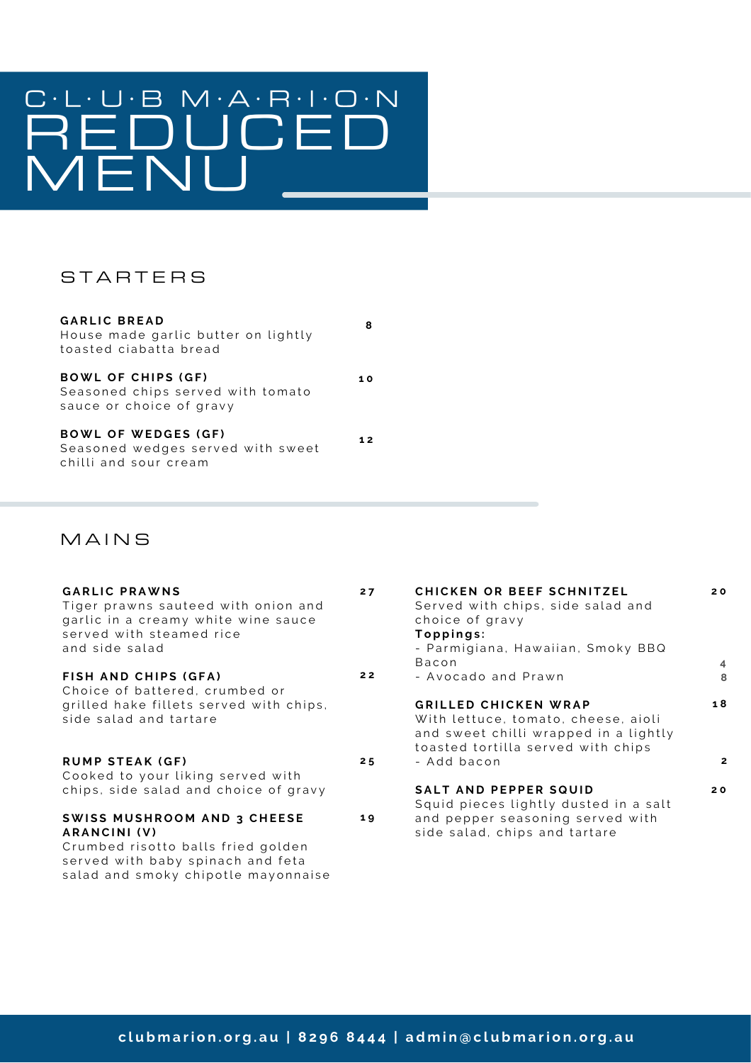# REDUCED MENU

#### STARTERS

| <b>GARLIC BREAD</b><br>House made garlic butter on lightly<br>toasted ciabatta bread       | 8  |
|--------------------------------------------------------------------------------------------|----|
| <b>BOWL OF CHIPS (GF)</b><br>Seasoned chips served with tomato<br>sauce or choice of gravy | 10 |
| <b>BOWL OF WEDGES (GF)</b><br>Seasoned wedges served with sweet<br>chilli and sour cream   | 12 |

#### **MAINS**

| <b>GARLIC PRAWNS</b><br>Tiger prawns sauteed with onion and<br>garlic in a creamy white wine sauce<br>served with steamed rice<br>and side salad                     | 27 | <b>CHICKEN OR BEEF SCHNITZEL</b><br>Served with chips, side salad and<br>choice of gravy<br>Toppings:<br>- Parmigiana, Hawaiian, Smoky BBQ<br><b>Bacon</b> | 20<br>$\overline{4}$ |
|----------------------------------------------------------------------------------------------------------------------------------------------------------------------|----|------------------------------------------------------------------------------------------------------------------------------------------------------------|----------------------|
| FISH AND CHIPS (GFA)                                                                                                                                                 | 22 | - Avocado and Prawn                                                                                                                                        | 8                    |
| Choice of battered, crumbed or<br>grilled hake fillets served with chips,<br>side salad and tartare                                                                  |    | <b>GRILLED CHICKEN WRAP</b><br>With lettuce, tomato, cheese, aioli<br>and sweet chilli wrapped in a lightly<br>toasted tortilla served with chips          | 18                   |
| <b>RUMP STEAK (GF)</b>                                                                                                                                               | 25 | - Add bacon                                                                                                                                                | $\mathbf{2}$         |
| Cooked to your liking served with                                                                                                                                    |    |                                                                                                                                                            |                      |
| chips, side salad and choice of gravy                                                                                                                                |    | <b>SALT AND PEPPER SQUID</b><br>Squid pieces lightly dusted in a salt                                                                                      | 20                   |
| <b>SWISS MUSHROOM AND 3 CHEESE</b><br>ARANCINI (V)<br>Crumbed risotto balls fried golden<br>served with baby spinach and feta<br>salad and smoky chipotle mayonnaise | 19 | and pepper seasoning served with<br>side salad, chips and tartare                                                                                          |                      |